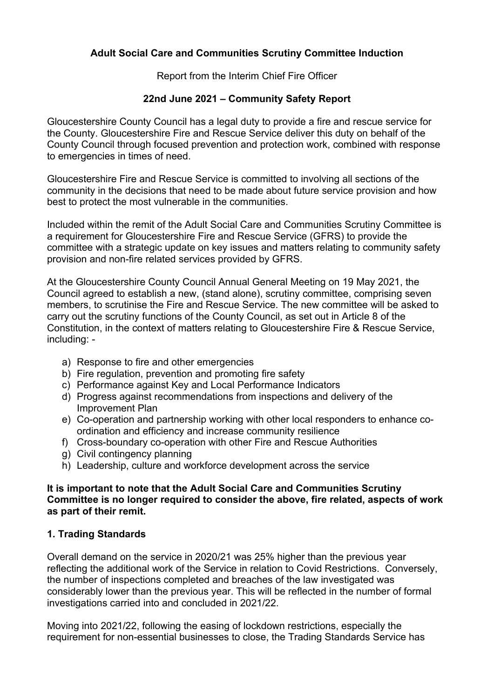### **Adult Social Care and Communities Scrutiny Committee Induction**

Report from the Interim Chief Fire Officer

### **22nd June 2021 – Community Safety Report**

Gloucestershire County Council has a legal duty to provide a fire and rescue service for the County. Gloucestershire Fire and Rescue Service deliver this duty on behalf of the County Council through focused prevention and protection work, combined with response to emergencies in times of need.

Gloucestershire Fire and Rescue Service is committed to involving all sections of the community in the decisions that need to be made about future service provision and how best to protect the most vulnerable in the communities.

Included within the remit of the Adult Social Care and Communities Scrutiny Committee is a requirement for Gloucestershire Fire and Rescue Service (GFRS) to provide the committee with a strategic update on key issues and matters relating to community safety provision and non-fire related services provided by GFRS.

At the Gloucestershire County Council Annual General Meeting on 19 May 2021, the Council agreed to establish a new, (stand alone), scrutiny committee, comprising seven members, to scrutinise the Fire and Rescue Service. The new committee will be asked to carry out the scrutiny functions of the County Council, as set out in Article 8 of the Constitution, in the context of matters relating to Gloucestershire Fire & Rescue Service, including: -

- a) Response to fire and other emergencies
- b) Fire regulation, prevention and promoting fire safety
- c) Performance against Key and Local Performance Indicators
- d) Progress against recommendations from inspections and delivery of the Improvement Plan
- e) Co-operation and partnership working with other local responders to enhance coordination and efficiency and increase community resilience
- f) Cross-boundary co-operation with other Fire and Rescue Authorities
- g) Civil contingency planning
- h) Leadership, culture and workforce development across the service

#### **It is important to note that the Adult Social Care and Communities Scrutiny Committee is no longer required to consider the above, fire related, aspects of work as part of their remit.**

## **1. Trading Standards**

Overall demand on the service in 2020/21 was 25% higher than the previous year reflecting the additional work of the Service in relation to Covid Restrictions. Conversely, the number of inspections completed and breaches of the law investigated was considerably lower than the previous year. This will be reflected in the number of formal investigations carried into and concluded in 2021/22.

Moving into 2021/22, following the easing of lockdown restrictions, especially the requirement for non-essential businesses to close, the Trading Standards Service has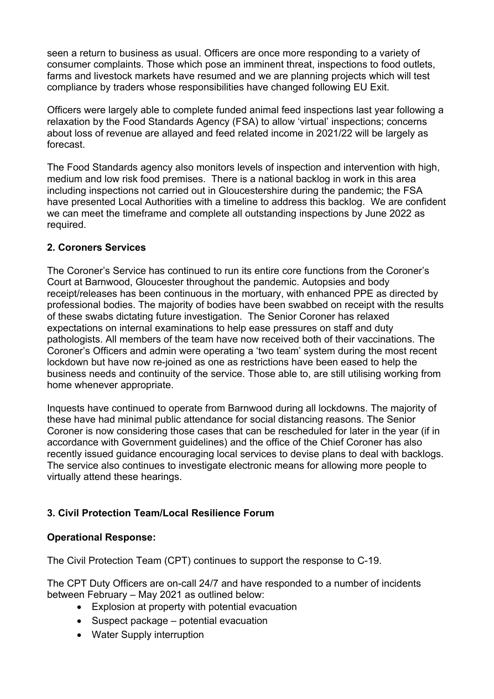seen a return to business as usual. Officers are once more responding to a variety of consumer complaints. Those which pose an imminent threat, inspections to food outlets, farms and livestock markets have resumed and we are planning projects which will test compliance by traders whose responsibilities have changed following EU Exit.

Officers were largely able to complete funded animal feed inspections last year following a relaxation by the Food Standards Agency (FSA) to allow 'virtual' inspections; concerns about loss of revenue are allayed and feed related income in 2021/22 will be largely as forecast.

The Food Standards agency also monitors levels of inspection and intervention with high, medium and low risk food premises. There is a national backlog in work in this area including inspections not carried out in Gloucestershire during the pandemic; the FSA have presented Local Authorities with a timeline to address this backlog. We are confident we can meet the timeframe and complete all outstanding inspections by June 2022 as required.

#### **2. Coroners Services**

The Coroner's Service has continued to run its entire core functions from the Coroner's Court at Barnwood, Gloucester throughout the pandemic. Autopsies and body receipt/releases has been continuous in the mortuary, with enhanced PPE as directed by professional bodies. The majority of bodies have been swabbed on receipt with the results of these swabs dictating future investigation. The Senior Coroner has relaxed expectations on internal examinations to help ease pressures on staff and duty pathologists. All members of the team have now received both of their vaccinations. The Coroner's Officers and admin were operating a 'two team' system during the most recent lockdown but have now re-joined as one as restrictions have been eased to help the business needs and continuity of the service. Those able to, are still utilising working from home whenever appropriate.

Inquests have continued to operate from Barnwood during all lockdowns. The majority of these have had minimal public attendance for social distancing reasons. The Senior Coroner is now considering those cases that can be rescheduled for later in the year (if in accordance with Government guidelines) and the office of the Chief Coroner has also recently issued guidance encouraging local services to devise plans to deal with backlogs. The service also continues to investigate electronic means for allowing more people to virtually attend these hearings.

# **3. Civil Protection Team/Local Resilience Forum**

#### **Operational Response:**

The Civil Protection Team (CPT) continues to support the response to C-19.

The CPT Duty Officers are on-call 24/7 and have responded to a number of incidents between February – May 2021 as outlined below:

- Explosion at property with potential evacuation
- Suspect package potential evacuation
- Water Supply interruption